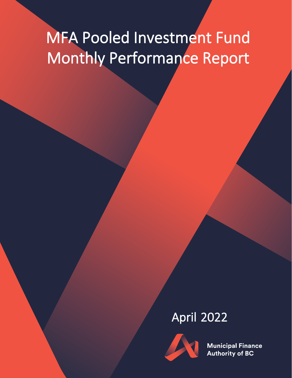# MFA Pooled Investment Fund Monthly Performance Report

# April 2022



**Municipal Finance Authority of BC**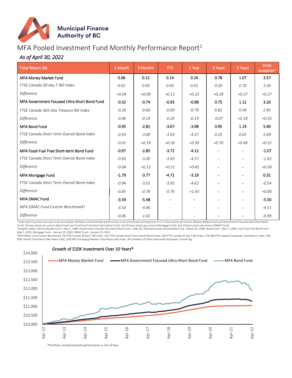

### MFA Pooled Investment Fund Monthly Performance Report $1$

#### *As of April 30, 2022*

| Total Return (%)                             | 1 Month | 3 Months | <b>YTD</b>                   | 1 Year                   | 3 Years                  | 5 Years                  | <b>Since</b><br>Inception <sup>2</sup> |
|----------------------------------------------|---------|----------|------------------------------|--------------------------|--------------------------|--------------------------|----------------------------------------|
| MFA Money Market Fund                        | 0.06    | 0.12     | 0.14                         | 0.24                     | 0.78                     | 1.07                     | 3.57                                   |
| FTSE Canada 30-day T-Bill Index              | 0.02    | 0.03     | 0.03                         | 0.01                     | 0.50                     | 0.70                     | 3.30                                   |
| Difference                                   | $+0.04$ | $+0.09$  | $+0.11$                      | $+0.23$                  | $+0.28$                  | $+0.37$                  | $+0.27$                                |
| MFA Government Focused Ultra-Short Bond Fund | $-0.32$ | $-0.74$  | $-0.93$                      | $-0.98$                  | 0.75                     | 1.12                     | 3.20                                   |
| FTSE Canada 365-Day Treasury Bill Index      | $-0.26$ | $-0.60$  | $-0.69$                      | $-0.79$                  | 0.82                     | 0.94                     | 2.85                                   |
| Difference                                   | $-0.06$ | $-0.14$  | $-0.24$                      | $-0.19$                  | $-0.07$                  | $+0.18$                  | $+0.35$                                |
| <b>MFA Bond Fund</b>                         | $-0.95$ | $-2.81$  | $-3.67$                      | $-3.98$                  | 0.95                     | 1.14                     | 5.40                                   |
| FTSE Canada Short Term Overall Bond Index    | $-0.93$ | $-3.00$  | $-3.93$                      | $-4.57$                  | 0.25                     | 0.65                     | 5.09                                   |
| Difference                                   | $-0.02$ | $+0.19$  | $+0.26$                      | $+0.59$                  | $+0.70$                  | $+0.49$                  | $+0.31$                                |
| MFA Fossil Fuel Free Short-term Bond Fund    | $-0.97$ | $-2.85$  | $-3.72$                      | $-4.12$                  |                          |                          | $-1.07$                                |
| FTSE Canada Short Term Overall Bond Index    | $-0.93$ | $-3.00$  | $-3.93$                      | $-4.57$                  |                          |                          | $-1.63$                                |
| Difference                                   | $-0.04$ | $+0.15$  | $+0.21$                      | $+0.45$                  |                          |                          | $+0.56$                                |
| <b>MFA Mortgage Fund</b>                     | $-1.79$ | $-3.77$  | $-4.71$                      | $-3.19$                  |                          |                          | 0.31                                   |
| FTSE Canada Short Term Overall Bond Index    | $-0.94$ | $-3.01$  | $-3.95$                      | $-4.62$                  |                          |                          | $-0.54$                                |
| Difference                                   | $-0.85$ | $-0.76$  | $-0.76$                      | $+1.43$                  |                          |                          | $+0.85$                                |
| <b>MFA DMAC Fund</b>                         | $-3.59$ | $-5.48$  | $\qquad \qquad \blacksquare$ |                          |                          |                          | $-5.50$                                |
| MFA DMAC Fund Custom Benchmark <sup>3</sup>  | $-3.53$ | $-4.46$  | $\overline{\phantom{a}}$     | $\overline{\phantom{a}}$ | $\overline{\phantom{a}}$ | $\overline{\phantom{a}}$ | $-4.51$                                |
| Difference                                   | $-0.06$ | $-1.02$  | ۰                            |                          |                          |                          | $-0.99$                                |

1 Total return less than one year is not annualized. Portfolio and benchmark performance is net of total fees and expenses of 12.5 basis points per annum (Money Market Fund and Government Focused Ultra-Short Bond Fund), 20 basis points per annum (Bond Fund and Fossil Fuel Free Short-term Bond Fund), and 25 basis points per annum (Mortgage Fund), and 33 basis points per annum (DMAC Fund).

2 Inception dates: Money Market Fund – May 1, 1989; Government Focused Ultra-Short Bond Fund – May 18, 2020 (previously Intermediate Fund - March 30, 1994); Bond Fund – May 1, 1989, Fossil Fuel Free Bond Fund – May 5, 2020; Mortgage Fund – January 29, 2020; DMAC Fund – January 19, 2022.

<sup>3</sup>MFA DMAC Fund Custom Benchmark: 2% FTSE Canada 30 Day T-Bill Index, 15% FTSE Canada Short Term Overall Bond Index, 16% FTSE Canada 91 Day T-Bill Index, 17% S&P/TSX Capped Composite Total Return Index, 35% MSCI World Total Return Net Index (CAD), 12% MSCI Emerging Markets Total Return Net Index, 3% Canadian CPI (Non-Seasonally Adjusted) 1-month lag.



\*Portfolio and benchmark performance is net of fees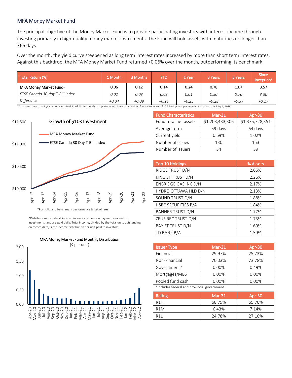#### MFA Money Market Fund

The principal objective of the Money Market Fund is to provide participating investors with interest income through investing primarily in high-quality money market instruments. The Fund will hold assets with maturities no longer than 366 days.

Over the month, the yield curve steepened as long term interest rates increased by more than short term interest rates. Against this backdrop, the MFA Money Market Fund returned +0.06% over the month, outperforming its benchmark.

| Total Return (%)                   | 1 Month | 3 Months | YTD     | 1 Year  | 3 Years | 5 Years | <b>Since</b><br>Inception |
|------------------------------------|---------|----------|---------|---------|---------|---------|---------------------------|
| MFA Money Market Fund <sup>1</sup> | 0.06    | 0.12     | 0.14    | 0.24    | 0.78    | 1.07    | 3.57                      |
| FTSE Canada 30-day T-Bill Index    | 0.02    | 0.03     | 0.03    | 0.01    | 0.50    | 0.70    | 3.30                      |
| Difference                         | $+0.04$ | +0.09    | $+0.11$ | $+0.23$ | +0.28   | $+0.37$ | $+0.27$                   |

 $^1$ Total return less than 1 year is not annualized. Portfolio and benchmark performance is net of annualized fee and expenses of 12.5 basis points per annum. <sup>2</sup>Inception date: May 1, 1989.



\*Portfolio and benchmark performance is net of fees

\*Distributions include all interest income and coupon payments earned on investments, and are paid daily. Total income, divided by the total units outstanding on record date, is the income distribution per unit paid to investors.



| <b>Fund Characteristics</b> | $Mar-31$        | Apr-30          |
|-----------------------------|-----------------|-----------------|
| Fund total net assets       | \$1,203,433,306 | \$1,375,728,351 |
| Average term                | 59 days         | 64 days         |
| Current yield               | 0.69%           | 1.02%           |
| Number of issues            | 130             | 153             |
| Number of issuers           | 34              | 39              |

| <b>Top 10 Holdings</b>     | % Assets |
|----------------------------|----------|
| RIDGE TRUST D/N            | 2.66%    |
| KING ST TRUST D/N          | 2.26%    |
| ENBRIDGE GAS INC D/N       | 2.17%    |
| HYDRO OTTAWA HLD D/N       | 2.13%    |
| SOUND TRUST D/N            | 1.88%    |
| <b>HSBC SECURITIES B/A</b> | 1.84%    |
| <b>BANNER TRUST D/N</b>    | 1.77%    |
| ZEUS REC TRUST D/N         | 1.73%    |
| BAY ST TRUST D/N           | 1.69%    |
| TD BANK B/A                | 1.59%    |

| $Mar-31$ | Apr-30 |
|----------|--------|
| 29.97%   | 25.73% |
| 70.03%   | 73.78% |
| 0.00%    | 0.49%  |
| 0.00%    | 0.00%  |
| $0.00\%$ | 0.00%  |
|          |        |

\*includes federal and provincial government

| Rating           | $Mar-31$ | Apr-30 |
|------------------|----------|--------|
| R <sub>1</sub> H | 68.79%   | 65.70% |
| R <sub>1</sub> M | 6.43%    | 7.14%  |
| R <sub>1</sub>   | 24.78%   | 27.16% |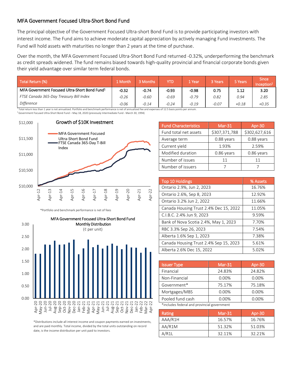#### MFA Government Focused Ultra-Short Bond Fund

The principal objective of the Government Focused Ultra-short Bond Fund is to provide participating investors with interest income. The Fund aims to achieve moderate capital appreciation by actively managing Fund investments. The Fund will hold assets with maturities no longer than 2 years at the time of purchase.

Over the month, the MFA Government Focused Ultra-Short Bond Fund returned -0.32%, underperforming the benchmark as credit spreads widened. The fund remains biased towards high-quality provincial and financial corporate bonds given their yield advantage over similar term federal bonds.

| Total Return (%)                                          | 1 Month | 3 Months | YTD     | 1 Year  | 3 Years | 5 Years | <b>Since</b><br>Inception <sup>2</sup> |
|-----------------------------------------------------------|---------|----------|---------|---------|---------|---------|----------------------------------------|
| MFA Government Focused Ultra-Short Bond Fund <sup>1</sup> | $-0.32$ | $-0.74$  | $-0.93$ | $-0.98$ | 0.75    | 1.12    | 3.20                                   |
| FTSE Canada 365-Day Treasury Bill Index                   | $-0.26$ | $-0.60$  | $-0.69$ | $-0.79$ | 0.82    | 0.94    | 2.85                                   |
| Difference                                                | $-0.06$ | $-0.14$  | $-0.24$ | $-0.19$ | $-0.07$ | $+0.18$ | $+0.35$                                |

 $1$ Total return less than 1 year is not annualized. Portfolio and benchmark performance is net of annualized fee and expenses of 12.5 basis points per annum.  $^2$  Government Focused Ultra-Short Bond Fund – May 18, 2020 (previously Intermediate Fund - March 30, 1994)



\*Portfolio and benchmark performance is net of fees



\*Distributions include all interest income and coupon payments earned on investments, and are paid monthly. Total income, divided by the total units outstanding on record date, is the income distribution per unit paid to investors.

| <b>Fund Characteristics</b> | $Mar-31$      | Apr-30        |
|-----------------------------|---------------|---------------|
| Fund total net assets       | \$307,371,788 | \$302,627,616 |
| Average term                | 0.88 years    | 0.88 years    |
| Current yield               | 1.93%         | 2.59%         |
| Modified duration           | 0.86 years    | 0.86 years    |
| Number of issues            | 11            | 11            |
| Number of issuers           |               |               |

| <b>Top 10 Holdings</b>                 | % Assets |
|----------------------------------------|----------|
| Ontario 2.9%, Jun 2, 2023              | 16.76%   |
| Ontario 2.6%, Sep 8, 2023              | 12.92%   |
| Ontario 3.2% Jun 2, 2022               | 11.66%   |
| Canada Housing Trust 2.4% Dec 15, 2022 | 11.05%   |
| C.I.B.C. 2.4% Jun 9, 2023              | 9.59%    |
| Bank of Nova Scotia 2.4%, May 1, 2023  | 7.70%    |
| RBC 3.3% Sep 26, 2023                  | 7.54%    |
| Alberta 1.6% Sep 1, 2023               | 7.38%    |
| Canada Housing Trust 2.4% Sep 15, 2023 | 5.61%    |
| Alberta 2.6% Dec 15, 2022              | 5.02%    |

| <b>Issuer Type</b>                          | $Mar-31$ | Apr-30 |  |  |  |
|---------------------------------------------|----------|--------|--|--|--|
| Financial                                   | 24.83%   | 24.82% |  |  |  |
| Non-Financial                               | 0.00%    | 0.00%  |  |  |  |
| Government*                                 | 75.17%   | 75.18% |  |  |  |
| Mortgages/MBS                               | 0.00%    | 0.00%  |  |  |  |
| Pooled fund cash                            | 0.00%    | 0.00%  |  |  |  |
| *includes federal and provincial government |          |        |  |  |  |

| Rating  | $Mar-31$ | Apr-30 |
|---------|----------|--------|
| AAA/R1H | 16.57%   | 16.76% |
| AA/R1M  | 51.32%   | 51.03% |
| A/R1L   | 32.11%   | 32.21% |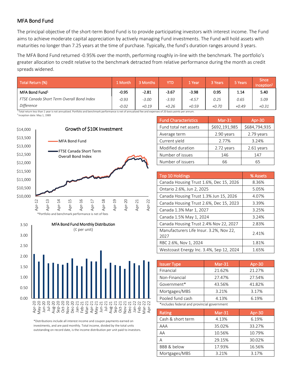#### MFA Bond Fund

The principal objective of the short-term Bond Fund is to provide participating investors with interest income. The Fund aims to achieve moderate capital appreciation by actively managing Fund investments. The Fund will hold assets with maturities no longer than 7.25 years at the time of purchase. Typically, the fund's duration ranges around 3 years.

The MFA Bond Fund returned -0.95% over the month, performing roughly in-line with the benchmark. The portfolio's greater allocation to credit relative to the benchmark detracted from relative performance during the month as credit spreads widened.

| Total Return (%)                          | 1 Month | 3 Months | YTD     | 1 Year  | 3 Years | 5 Years | <b>Since</b><br>Inception <sup>2</sup> |
|-------------------------------------------|---------|----------|---------|---------|---------|---------|----------------------------------------|
| MFA Bond Fund <sup>1</sup>                | $-0.95$ | $-2.81$  | $-3.67$ | $-3.98$ | 0.95    | 1.14    | 5.40                                   |
| FTSE Canada Short Term Overall Bond Index | $-0.93$ | $-3.00$  | $-3.93$ | $-4.57$ | 0.25    | 0.65    | 5.09                                   |
| Difference                                | $-0.02$ | $+0.19$  | $+0.26$ | $+0.59$ | +0.70   | $+0.49$ | $+0.31$                                |

 $^1$ Total return less than 1 year is not annualized. Portfolio and benchmark performance is net of annualized fee and expenses of 20 basis points per annum.

<sup>3</sup> Inception date: May 1, 1989





\*Distributions include all interest income and coupon payments earned on investments, and are paid monthly. Total income, divided by the total units outstanding on record date, is the income distribution per unit paid to investors.

| <b>Fund Characteristics</b> | $Mar-31$      | Apr-30        |
|-----------------------------|---------------|---------------|
| Fund total net assets       | \$692,191,985 | \$684,794,935 |
| Average term                | 2.90 years    | 2.79 years    |
| Current yield               | 2.77%         | 3.24%         |
| Modified duration           | 2.72 years    | 2.61 years    |
| Number of issues            | 146           | 147           |
| Number of issuers           | 66            | 65            |

| <b>Top 10 Holdings</b>                          | % Assets |
|-------------------------------------------------|----------|
| Canada Housing Trust 1.6%, Dec 15, 2026         | 8.36%    |
| Ontario 2.6%, Jun 2, 2025                       | 5.05%    |
| Canada Housing Trust 1.3% Jun 15, 2026          | 4.07%    |
| Canada Housing Trust 2.6%, Dec 15, 2023         | 3.39%    |
| Canada 1.3% Mar 1, 2027                         | 3.25%    |
| Canada 1.5% May 1, 2024                         | 3.24%    |
| Canada Housing Trust 2.4% Nov 22, 2027          | 2.83%    |
| Manufacturers Life Insur. 3.2%, Nov 22,<br>2027 | 2.41%    |
| RBC 2.6%, Nov 1, 2024                           | 1.81%    |
| Westcoast Energy Inc. 3.4%, Sep 12, 2024        | 1.65%    |

| <b>Issuer Type</b>                          | $Mar-31$ | Apr-30 |  |  |
|---------------------------------------------|----------|--------|--|--|
| Financial                                   | 21.62%   | 21.27% |  |  |
| Non-Financial                               | 27.47%   | 27.54% |  |  |
| Government*                                 | 43.56%   | 41.82% |  |  |
| Mortgages/MBS                               | 3.21%    | 3.17%  |  |  |
| Pooled fund cash                            | 4.13%    | 6.19%  |  |  |
| *includes federal and provincial government |          |        |  |  |

| Rating                 | $Mar-31$ | Apr-30 |
|------------------------|----------|--------|
| Cash & short term      | 4.13%    | 6.19%  |
| AAA                    | 35.02%   | 33.27% |
| AA                     | 10.56%   | 10.79% |
|                        | 29.15%   | 30.02% |
| <b>BBB &amp; below</b> | 17.93%   | 16.56% |
| Mortgages/MBS          | 3.21%    | 3.17%  |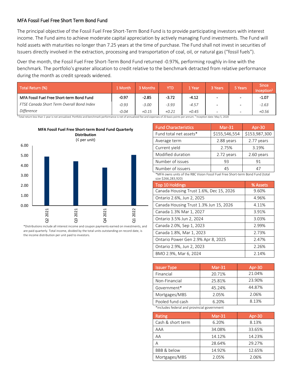#### MFA Fossil Fuel Free Short Term Bond Fund

The principal objective of the Fossil Fuel Free Short-Term Bond Fund is to provide participating investors with interest income. The Fund aims to achieve moderate capital appreciation by actively managing Fund investments. The Fund will hold assets with maturities no longer than 7.25 years at the time of purchase. The Fund shall not invest in securities of Issuers directly involved in the extraction, processing and transportation of coal, oil, or natural gas ("fossil fuels").

Over the month, the Fossil Fuel Free Short-Term Bond Fund returned -0.97%, performing roughly in-line with the benchmark. The portfolio's greater allocation to credit relative to the benchmark detracted from relative performance during the month as credit spreads widened.

| Total Return (%)                          | 1 Month | 3 Months | YTD     | 1 Year  | 3 Years | 5 Years                  | <b>Since</b><br>Inception <sup>2</sup> |
|-------------------------------------------|---------|----------|---------|---------|---------|--------------------------|----------------------------------------|
| MFA Fossil Fuel Free Short-term Bond Fund | $-0.97$ | $-2.85$  | $-3.72$ | $-4.12$ |         | $\overline{\phantom{0}}$ | $-1.07$                                |
| FTSE Canada Short Term Overall Bond Index | $-0.93$ | $-3.00$  | $-3.93$ | $-4.57$ |         | $\overline{\phantom{0}}$ | $-1.63$                                |
| <b>Difference</b>                         | $-0.04$ | $+0.15$  | $+0.21$ | $+0.45$ | -       | $\sim$                   | $+0.56$                                |

<sup>1</sup>Total return less than 1 year is not annualized. Portfolio and benchmark performance is net of annualized fee and expenses of 20 basis points per annum. <sup>2</sup> Inception date: May 5, 2020



\*Distributions include all interest income and coupon payments earned on investments, and are paid quarterly. Total income, divided by the total units outstanding on record date, is the income distribution per unit paid to investors.

| <b>Fund Characteristics</b> | $Mar-31$      | Apr-30        |
|-----------------------------|---------------|---------------|
| Fund total net assets*      | \$155,546,554 | \$153,987,300 |
| Average term                | 2.88 years    | 2.77 years    |
| Current yield               | 2.75%         | 3.19%         |
| Modified duration           | 2.72 years    | 2.60 years    |
| Number of issues            | 93            | 91            |
| Number of issuers           | 45            | 47            |

\*MFA owns units of the RBC Vision Fossil Fuel Free Short-term Bond Fund (total size \$266,283,920)

| <b>Top 10 Holdings</b>                  | % Assets |
|-----------------------------------------|----------|
| Canada Housing Trust 1.6%, Dec 15, 2026 | 9.60%    |
| Ontario 2.6%, Jun 2, 2025               | 4.96%    |
| Canada Housing Trust 1.3% Jun 15, 2026  | 4.11%    |
| Canada 1.3% Mar 1, 2027                 | 3.91%    |
| Ontario 3.5% Jun 2, 2024                | 3.03%    |
| Canada 2.0%, Sep 1, 2023                | 2.99%    |
| Canada 1.8%, Mar 1, 2023                | 2.73%    |
| Ontario Power Gen 2.9% Apr 8, 2025      | 2.47%    |
| Ontario 2.9%, Jun 2, 2023               | 2.26%    |
| BMO 2.9%, Mar 6, 2024                   | 2.14%    |

| <b>Issuer Type</b>                          | $Mar-31$ | Apr-30 |
|---------------------------------------------|----------|--------|
| Financial                                   | 20.71%   | 21.04% |
| Non-Financial                               | 25.81%   | 23.90% |
| Government*                                 | 45.24%   | 44.87% |
| Mortgages/MBS                               | 2.05%    | 2.06%  |
| Pooled fund cash                            | 6.20%    | 8.13%  |
| *includes federal and provincial government |          |        |

\*includes federal and provincial government

| Rating            | $Mar-31$ | Apr-30 |
|-------------------|----------|--------|
| Cash & short term | 6.20%    | 8.13%  |
| AAA               | 34.08%   | 33.65% |
| AA                | 14.12%   | 14.23% |
| А                 | 28.64%   | 29.27% |
| BBB & below       | 14.92%   | 12.65% |
| Mortgages/MBS     | 2.05%    | 2.06%  |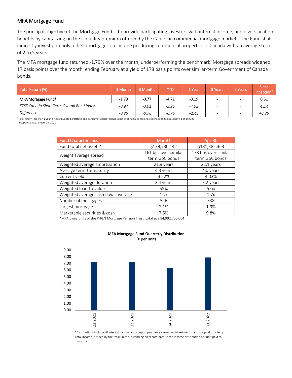#### MFA Mortgage Fund

The principal objective of the Mortgage Fund is to provide participating investors with interest income, and diversification benefits by capitalizing on the illiquidity premium offered by the Canadian commercial mortgage markets. The Fund shall indirectly invest primarily in first mortgages on income producing commercial properties in Canada with an average term of 2 to 5 years.

The MFA mortgage fund returned -1.79% over the month, underperforming the benchmark. Mortgage spreads widened 17 basis points over the month, ending February at a yield of 178 basis points over similar-term Government of Canada bonds.

| Total Return (%)                          | 1 Month | 3 Months | YTD     | l Year  | 3 Years                  | 5 Years                  | <b>Since</b><br>Inception |
|-------------------------------------------|---------|----------|---------|---------|--------------------------|--------------------------|---------------------------|
| MFA Mortgage Fund <sup>1</sup>            | $-1.79$ | $-3.77$  | $-4.71$ | $-3.19$ | $\overline{\phantom{a}}$ | $\overline{\phantom{a}}$ | 0.31                      |
| FTSE Canada Short Term Overall Bond Index | $-0.94$ | $-3.01$  | $-3.95$ | $-4.62$ |                          | $\overline{\phantom{0}}$ | $-0.54$                   |
| Difference                                | $-0.85$ | $-0.76$  | $-0.76$ | $+1.43$ | $\overline{\phantom{a}}$ | $\blacksquare$           | $+0.85$                   |

 $1$ Total return less than 1 year is not annualized. Portfolio and benchmark performance is net of annualized fee and expenses of 25 basis points per annum.

2 Inception date: January 29, 2020

| <b>Fund Characteristics</b>         | $Mar-31$             | Apr-30               |  |
|-------------------------------------|----------------------|----------------------|--|
| Fund total net assets*              | \$139,730,142        | \$181,382,363        |  |
| Weight average spread               | 161 bps over similar | 178 bps over similar |  |
|                                     | term GoC bonds       | term GoC bonds       |  |
| Weighted average amortization       | 21.9 years           | 22.1 years           |  |
| Average term-to-maturity            | 4.3 years            | 4.0 years            |  |
| Current yield                       | 3.52%                | 4.03%                |  |
| Weighted average duration           | 3.4 years            | 3.2 years            |  |
| Weighted loan-to-value              | 55%                  | 55%                  |  |
| Weighted average cash flow coverage | 1.7x                 | 1.7x                 |  |
| Number of mortgages                 | 546                  | 538                  |  |
| Largest mortgage                    | 2.1%                 | 1.9%                 |  |
| Marketable securities & cash        | 7.5%                 | 9.8%                 |  |

\*MFA owns units of the PH&N Mortgage Pension Trust (total size \$4,992,700,064)



**MFA Mortgage Fund Quarterly Distribution** 

(¢ per unit)

\*Distributions include all interest income and coupon payments earned on investments, and are paid quarterly. Total income, divided by the total units outstanding on record date, is the income distribution per unit paid to investors.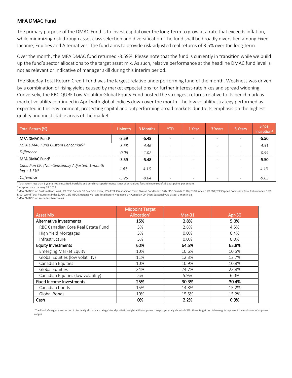#### MFA DMAC Fund

The primary purpose of the DMAC Fund is to invest capital over the long-term to grow at a rate that exceeds inflation, while minimizing risk through asset class selection and diversification. The fund shall be broadly diversified among Fixed Income, Equities and Alternatives. The fund aims to provide risk-adjusted real returns of 3.5% over the long-term.

Over the month, the MFA DMAC fund returned -3.59%. Please note that the fund is currently in transition while we build up the fund's sector allocations to the target asset mix. As such, relative performance at the headline DMAC fund level is not as relevant or indicative of manager skill during this interim period.

The BlueBay Total Return Credit Fund was the largest relative underperforming fund of the month. Weakness was driven by a combination of rising yields caused by market expectations for further interest-rate hikes and spread widening. Conversely, the RBC QUBE Low Volatility Global Equity Fund posted the strongest returns relative to its benchmark as market volatility continued in April with global indices down over the month. The low volatility strategy performed as expected in this environment, protecting capital and outperforming broad markets due to its emphasis on the highest quality and most stable areas of the market

| Total Return (%)                                                             | 1 Month | 3 Months | <b>YTD</b>               | 1 Year                   | 3 Years                  | 5 Years                  | <b>Since</b><br>Inception <sup>2</sup> |
|------------------------------------------------------------------------------|---------|----------|--------------------------|--------------------------|--------------------------|--------------------------|----------------------------------------|
| MFA DMAC Fund <sup>1</sup>                                                   | $-3.59$ | $-5.48$  |                          |                          |                          |                          | $-5.50$                                |
| MFA DMAC Fund Custom Benchmark <sup>3</sup>                                  | $-3.53$ | $-4.46$  |                          |                          |                          | $\overline{\phantom{0}}$ | $-4.51$                                |
| Difference                                                                   | $-0.06$ | $-1.02$  | $\overline{\phantom{a}}$ | $\overline{\phantom{a}}$ | $\overline{\phantom{0}}$ | $\blacksquare$           | $-0.99$                                |
| MFA DMAC Fund <sup>1</sup>                                                   | $-3.59$ | $-5.48$  |                          |                          |                          |                          | $-5.50$                                |
| Canadian CPI (Non-Seasonally Adjusted) 1-month<br>$lag + 3.5\%$ <sup>4</sup> | 1.67    | 4.16     |                          |                          |                          |                          | 4.13                                   |
| <b>Difference</b>                                                            | $-5.26$ | $-9.64$  |                          |                          |                          | $\overline{\phantom{0}}$ | $-9.63$                                |

<sup>1</sup> Total return less than 1 year is not annualized. Portfolio and benchmark performance is net of annualized fee and expenses of 33 basis points per annum.

2 Inception date: January 19, 2022 <sup>3</sup> MFA DMAC Fund Custom Benchmark: 2% FTSE Canada 30 Day T-Bill Index, 15% FTSE Canada Short Term Overall Bond Index, 16% FTSE Canada 91 Day T-Bill Index, 17% S&P/TSX Capped Composite Total Return Index, 35% .<br>AD), 12% MSCI Emerging Markets Total Return Net Index, 3% Canadian CPI (Non-Seasonally Adjusted) 1-month lag.<br>1ark

|  | visci World Total Return Net Index (CAD), . |  |  |
|--|---------------------------------------------|--|--|
|  |                                             |  |  |

|  |  |  |  | <sup>4</sup> MFA DMAC Fund secondary benchmark |  |  |  |  |  |  |  |  |
|--|--|--|--|------------------------------------------------|--|--|--|--|--|--|--|--|

|                                    | <b>Midpoint Target</b>  |          |        |  |
|------------------------------------|-------------------------|----------|--------|--|
| <b>Asset Mix</b>                   | Allocation <sup>1</sup> | $Mar-31$ | Apr-30 |  |
| Alternative Investments            | 15%                     | 2.8%     | 5.0%   |  |
| RBC Canadian Core Real Estate Fund | 5%                      | 2.8%     | 4.5%   |  |
| High Yield Mortgages               | 5%                      | 0.0%     | 0.4%   |  |
| Infrastructure                     | 5%                      | 0.0%     | 0.0%   |  |
| <b>Equity Investments</b>          | 60%                     | 64.5%    | 63.8%  |  |
| <b>Emerging Market Equity</b>      | 10%                     | 10.6%    | 10.5%  |  |
| Global Equities (low volatility)   | 11%                     | 12.3%    | 12.7%  |  |
| Canadian Equities                  | 10%                     | 10.9%    | 10.8%  |  |
| Global Equities                    | 24%                     | 24.7%    | 23.8%  |  |
| Canadian Equities (low volatility) | 5%                      | 5.9%     | 6.0%   |  |
| <b>Fixed Income Investments</b>    | 25%                     | 30.3%    | 30.4%  |  |
| Canadian bonds                     | 15%                     | 14.8%    | 15.2%  |  |
| Global Bonds                       | 10%                     | 15.5%    | 15.2%  |  |
| Cash                               | 0%                      | 2.2%     | 0.9%   |  |

<sup>1</sup>The Fund Manager is authorized to tactically allocate a strategy's total portfolio weight within approved ranges, generally about +/- 5% - these target portfolio weights represent the mid-point of approved ranges